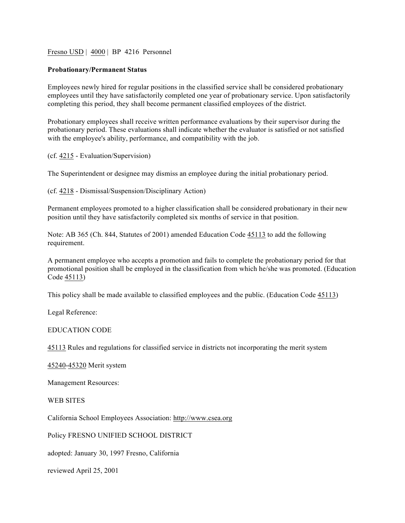## Fresno USD | 4000 | BP 4216 Personnel

## **Probationary/Permanent Status**

Employees newly hired for regular positions in the classified service shall be considered probationary employees until they have satisfactorily completed one year of probationary service. Upon satisfactorily completing this period, they shall become permanent classified employees of the district.

Probationary employees shall receive written performance evaluations by their supervisor during the probationary period. These evaluations shall indicate whether the evaluator is satisfied or not satisfied with the employee's ability, performance, and compatibility with the job.

(cf. 4215 - Evaluation/Supervision)

The Superintendent or designee may dismiss an employee during the initial probationary period.

(cf. 4218 - Dismissal/Suspension/Disciplinary Action)

Permanent employees promoted to a higher classification shall be considered probationary in their new position until they have satisfactorily completed six months of service in that position.

Note: AB 365 (Ch. 844, Statutes of 2001) amended Education Code 45113 to add the following requirement.

A permanent employee who accepts a promotion and fails to complete the probationary period for that promotional position shall be employed in the classification from which he/she was promoted. (Education Code 45113)

This policy shall be made available to classified employees and the public. (Education Code 45113)

Legal Reference:

## EDUCATION CODE

45113 Rules and regulations for classified service in districts not incorporating the merit system

45240-45320 Merit system

Management Resources:

## WEB SITES

California School Employees Association: http://www.csea.org

Policy FRESNO UNIFIED SCHOOL DISTRICT

adopted: January 30, 1997 Fresno, California

reviewed April 25, 2001